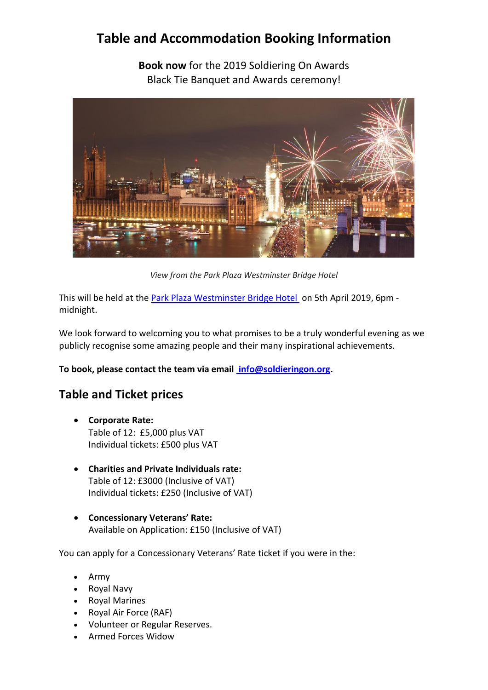# **Table and Accommodation Booking Information**

**Book now** for the 2019 Soldiering On Awards Black Tie Banquet and Awards ceremony!



*View from the Park Plaza Westminster Bridge Hotel*

This will be held at the [Park Plaza Westminster Bridge Hotel](https://www.parkplaza.com/) on 5th April 2019, 6pm midnight.

We look forward to welcoming you to what promises to be a truly wonderful evening as we publicly recognise some amazing people and their many inspirational achievements.

**To book, please contact the team via email [info@soldieringon.org.](mailto:%20info@soldieringon.org)**

## **Table and Ticket prices**

- **Corporate Rate:** Table of 12: £5,000 plus VAT Individual tickets: £500 plus VAT
- **Charities and Private Individuals rate:** Table of 12: £3000 (Inclusive of VAT) Individual tickets: £250 (Inclusive of VAT)
- **Concessionary Veterans' Rate:** Available on Application: £150 (Inclusive of VAT)

You can apply for a Concessionary Veterans' Rate ticket if you were in the:

- Army
- Royal Navy
- Royal Marines
- Royal Air Force (RAF)
- Volunteer or Regular Reserves.
- Armed Forces Widow